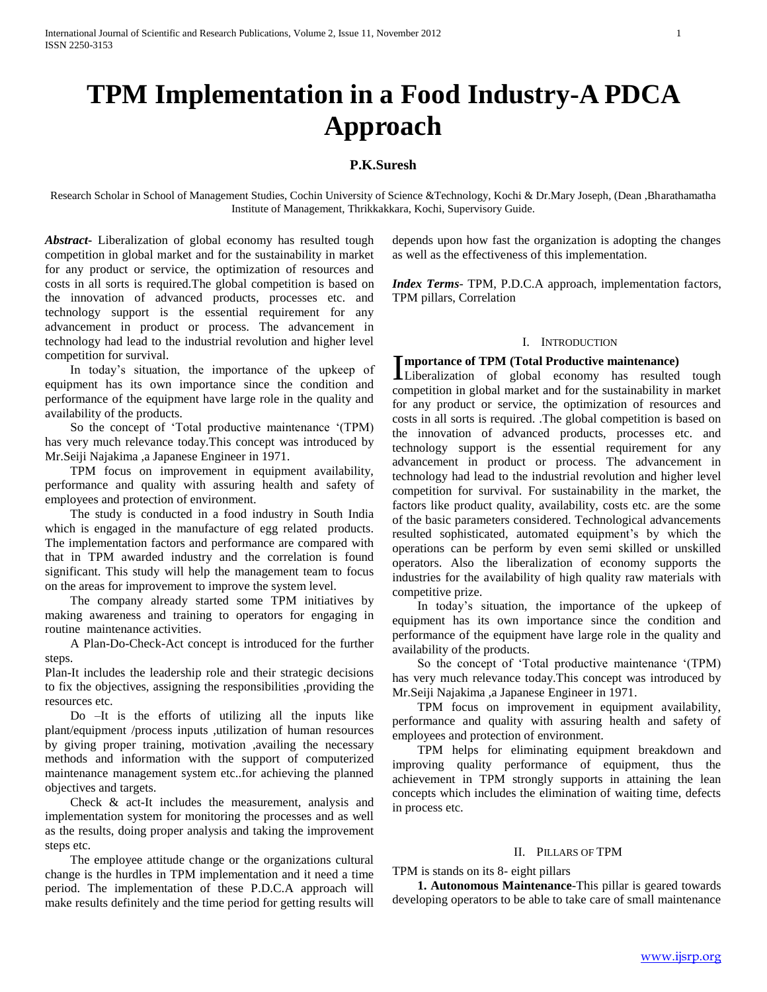# **TPM Implementation in a Food Industry-A PDCA Approach**

# **P.K.Suresh**

Research Scholar in School of Management Studies, Cochin University of Science &Technology, Kochi & Dr.Mary Joseph, (Dean ,Bharathamatha Institute of Management, Thrikkakkara, Kochi, Supervisory Guide.

*Abstract***-** Liberalization of global economy has resulted tough competition in global market and for the sustainability in market for any product or service, the optimization of resources and costs in all sorts is required.The global competition is based on the innovation of advanced products, processes etc. and technology support is the essential requirement for any advancement in product or process. The advancement in technology had lead to the industrial revolution and higher level competition for survival.

 In today's situation, the importance of the upkeep of equipment has its own importance since the condition and performance of the equipment have large role in the quality and availability of the products.

 So the concept of 'Total productive maintenance '(TPM) has very much relevance today.This concept was introduced by Mr.Seiji Najakima ,a Japanese Engineer in 1971.

 TPM focus on improvement in equipment availability, performance and quality with assuring health and safety of employees and protection of environment.

 The study is conducted in a food industry in South India which is engaged in the manufacture of egg related products. The implementation factors and performance are compared with that in TPM awarded industry and the correlation is found significant. This study will help the management team to focus on the areas for improvement to improve the system level.

 The company already started some TPM initiatives by making awareness and training to operators for engaging in routine maintenance activities.

 A Plan-Do-Check-Act concept is introduced for the further steps.

Plan-It includes the leadership role and their strategic decisions to fix the objectives, assigning the responsibilities ,providing the resources etc.

 Do –It is the efforts of utilizing all the inputs like plant/equipment /process inputs ,utilization of human resources by giving proper training, motivation ,availing the necessary methods and information with the support of computerized maintenance management system etc..for achieving the planned objectives and targets.

 Check & act-It includes the measurement, analysis and implementation system for monitoring the processes and as well as the results, doing proper analysis and taking the improvement steps etc.

 The employee attitude change or the organizations cultural change is the hurdles in TPM implementation and it need a time period. The implementation of these P.D.C.A approach will make results definitely and the time period for getting results will

depends upon how fast the organization is adopting the changes as well as the effectiveness of this implementation.

*Index Terms*- TPM, P.D.C.A approach, implementation factors, TPM pillars, Correlation

## I. INTRODUCTION

## **mportance of TPM (Total Productive maintenance)**

Importance of TPM (Total Productive maintenance)<br>Liberalization of global economy has resulted tough competition in global market and for the sustainability in market for any product or service, the optimization of resources and costs in all sorts is required. .The global competition is based on the innovation of advanced products, processes etc. and technology support is the essential requirement for any advancement in product or process. The advancement in technology had lead to the industrial revolution and higher level competition for survival. For sustainability in the market, the factors like product quality, availability, costs etc. are the some of the basic parameters considered. Technological advancements resulted sophisticated, automated equipment's by which the operations can be perform by even semi skilled or unskilled operators. Also the liberalization of economy supports the industries for the availability of high quality raw materials with competitive prize.

 In today's situation, the importance of the upkeep of equipment has its own importance since the condition and performance of the equipment have large role in the quality and availability of the products.

 So the concept of 'Total productive maintenance '(TPM) has very much relevance today.This concept was introduced by Mr.Seiji Najakima ,a Japanese Engineer in 1971.

 TPM focus on improvement in equipment availability, performance and quality with assuring health and safety of employees and protection of environment.

 TPM helps for eliminating equipment breakdown and improving quality performance of equipment, thus the achievement in TPM strongly supports in attaining the lean concepts which includes the elimination of waiting time, defects in process etc.

### II. PILLARS OF TPM

#### TPM is stands on its 8- eight pillars

 **1. Autonomous Maintenance**-This pillar is geared towards developing operators to be able to take care of small maintenance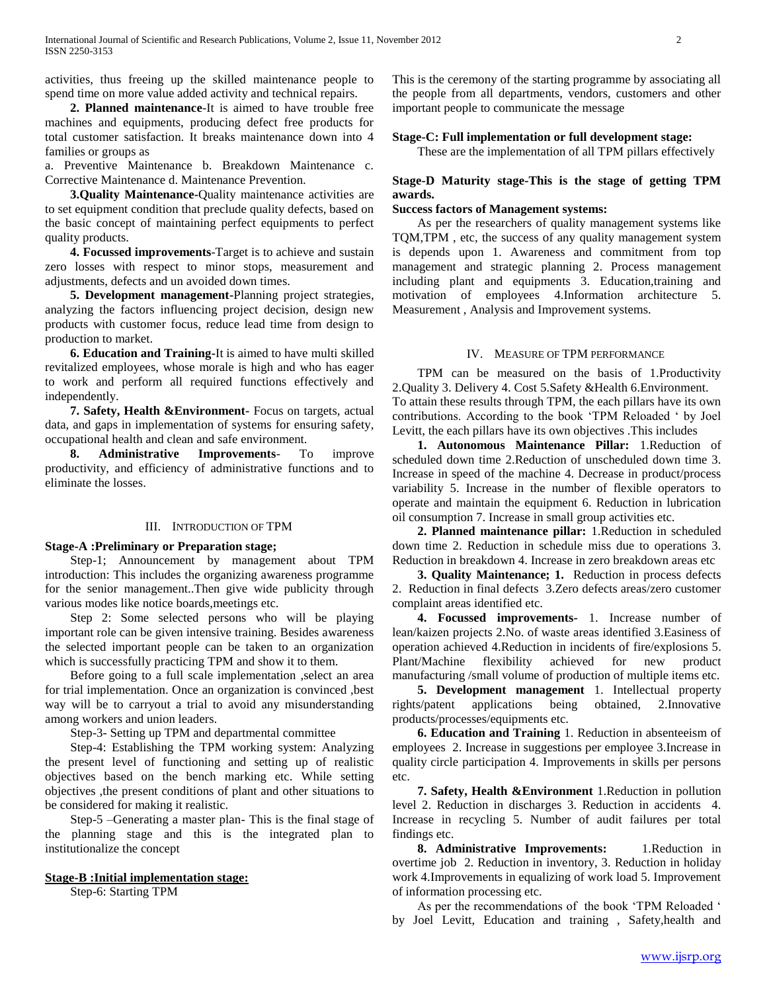activities, thus freeing up the skilled maintenance people to spend time on more value added activity and technical repairs.

 **2. Planned maintenance**-It is aimed to have trouble free machines and equipments, producing defect free products for total customer satisfaction. It breaks maintenance down into 4 families or groups as

a. Preventive Maintenance b. Breakdown Maintenance c. Corrective Maintenance d. Maintenance Prevention.

 **3.Quality Maintenance-**Quality maintenance activities are to set equipment condition that preclude quality defects, based on the basic concept of maintaining perfect equipments to perfect quality products.

 **4. Focussed improvements**-Target is to achieve and sustain zero losses with respect to minor stops, measurement and adjustments, defects and un avoided down times.

 **5. Development management-**Planning project strategies, analyzing the factors influencing project decision, design new products with customer focus, reduce lead time from design to production to market.

 **6. Education and Training-**It is aimed to have multi skilled revitalized employees, whose morale is high and who has eager to work and perform all required functions effectively and independently.

 **7. Safety, Health &Environment-** Focus on targets, actual data, and gaps in implementation of systems for ensuring safety, occupational health and clean and safe environment.

 **8. Administrative Improvements**- To improve productivity, and efficiency of administrative functions and to eliminate the losses.

## III. INTRODUCTION OF TPM

## **Stage-A :Preliminary or Preparation stage;**

 Step-1; Announcement by management about TPM introduction: This includes the organizing awareness programme for the senior management..Then give wide publicity through various modes like notice boards,meetings etc.

 Step 2: Some selected persons who will be playing important role can be given intensive training. Besides awareness the selected important people can be taken to an organization which is successfully practicing TPM and show it to them.

 Before going to a full scale implementation ,select an area for trial implementation. Once an organization is convinced ,best way will be to carryout a trial to avoid any misunderstanding among workers and union leaders.

Step-3- Setting up TPM and departmental committee

 Step-4: Establishing the TPM working system: Analyzing the present level of functioning and setting up of realistic objectives based on the bench marking etc. While setting objectives ,the present conditions of plant and other situations to be considered for making it realistic.

 Step-5 –Generating a master plan- This is the final stage of the planning stage and this is the integrated plan to institutionalize the concept

## **Stage-B :Initial implementation stage:**

Step-6: Starting TPM

This is the ceremony of the starting programme by associating all the people from all departments, vendors, customers and other important people to communicate the message

# **Stage-C: Full implementation or full development stage:**

These are the implementation of all TPM pillars effectively

# **Stage-D Maturity stage-This is the stage of getting TPM awards.**

# **Success factors of Management systems:**

 As per the researchers of quality management systems like TQM,TPM , etc, the success of any quality management system is depends upon 1. Awareness and commitment from top management and strategic planning 2. Process management including plant and equipments 3. Education,training and motivation of employees 4.Information architecture 5. Measurement , Analysis and Improvement systems.

# IV. MEASURE OF TPM PERFORMANCE

 TPM can be measured on the basis of 1.Productivity 2.Quality 3. Delivery 4. Cost 5.Safety &Health 6.Environment. To attain these results through TPM, the each pillars have its own contributions. According to the book 'TPM Reloaded ' by Joel Levitt, the each pillars have its own objectives .This includes

 **1. Autonomous Maintenance Pillar:** 1.Reduction of scheduled down time 2.Reduction of unscheduled down time 3. Increase in speed of the machine 4. Decrease in product/process variability 5. Increase in the number of flexible operators to operate and maintain the equipment 6. Reduction in lubrication oil consumption 7. Increase in small group activities etc.

 **2. Planned maintenance pillar:** 1.Reduction in scheduled down time 2. Reduction in schedule miss due to operations 3. Reduction in breakdown 4. Increase in zero breakdown areas etc

 **3. Quality Maintenance; 1.** Reduction in process defects 2. Reduction in final defects 3.Zero defects areas/zero customer complaint areas identified etc.

 **4. Focussed improvements-** 1. Increase number of lean/kaizen projects 2.No. of waste areas identified 3.Easiness of operation achieved 4.Reduction in incidents of fire/explosions 5. Plant/Machine flexibility achieved for new product manufacturing /small volume of production of multiple items etc.

 **5. Development management** 1. Intellectual property rights/patent applications being obtained, 2.Innovative products/processes/equipments etc.

 **6. Education and Training** 1. Reduction in absenteeism of employees 2. Increase in suggestions per employee 3.Increase in quality circle participation 4. Improvements in skills per persons etc.

 **7. Safety, Health &Environment** 1.Reduction in pollution level 2. Reduction in discharges 3. Reduction in accidents 4. Increase in recycling 5. Number of audit failures per total findings etc.

 **8. Administrative Improvements:** 1.Reduction in overtime job 2. Reduction in inventory, 3. Reduction in holiday work 4.Improvements in equalizing of work load 5. Improvement of information processing etc.

 As per the recommendations of the book 'TPM Reloaded ' by Joel Levitt, Education and training , Safety,health and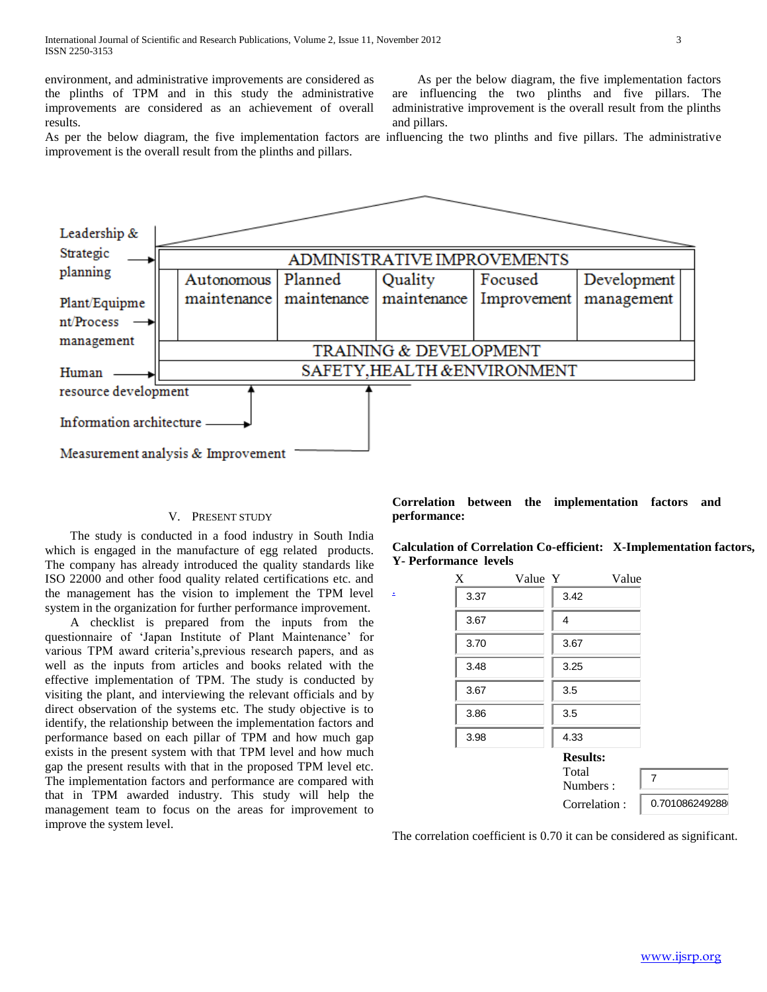environment, and administrative improvements are considered as the plinths of TPM and in this study the administrative improvements are considered as an achievement of overall results.

 As per the below diagram, the five implementation factors are influencing the two plinths and five pillars. The administrative improvement is the overall result from the plinths and pillars.

As per the below diagram, the five implementation factors are influencing the two plinths and five pillars. The administrative improvement is the overall result from the plinths and pillars.



[.](javascript:add())

# V. PRESENT STUDY

 The study is conducted in a food industry in South India which is engaged in the manufacture of egg related products. The company has already introduced the quality standards like ISO 22000 and other food quality related certifications etc. and the management has the vision to implement the TPM level system in the organization for further performance improvement.

 A checklist is prepared from the inputs from the questionnaire of 'Japan Institute of Plant Maintenance' for various TPM award criteria's,previous research papers, and as well as the inputs from articles and books related with the effective implementation of TPM. The study is conducted by visiting the plant, and interviewing the relevant officials and by direct observation of the systems etc. The study objective is to identify, the relationship between the implementation factors and performance based on each pillar of TPM and how much gap exists in the present system with that TPM level and how much gap the present results with that in the proposed TPM level etc. The implementation factors and performance are compared with that in TPM awarded industry. This study will help the management team to focus on the areas for improvement to improve the system level.

**Correlation between the implementation factors and performance:**

**Calculation of Correlation Co-efficient: X-Implementation factors, Y- Performance levels** 

| X    | Value Y |                                      | Value |                |
|------|---------|--------------------------------------|-------|----------------|
| 3.37 |         | 3.42                                 |       |                |
| 3.67 |         | 4                                    |       |                |
| 3.70 |         | 3.67                                 |       |                |
| 3.48 |         | 3.25                                 |       |                |
| 3.67 |         | 3.5                                  |       |                |
| 3.86 |         | 3.5                                  |       |                |
| 3.98 |         | 4.33                                 |       |                |
|      |         | <b>Results:</b><br>Total<br>Numbers: |       | $\overline{7}$ |
|      |         | Correlation:                         |       | 0.701086249288 |

The correlation coefficient is 0.70 it can be considered as significant.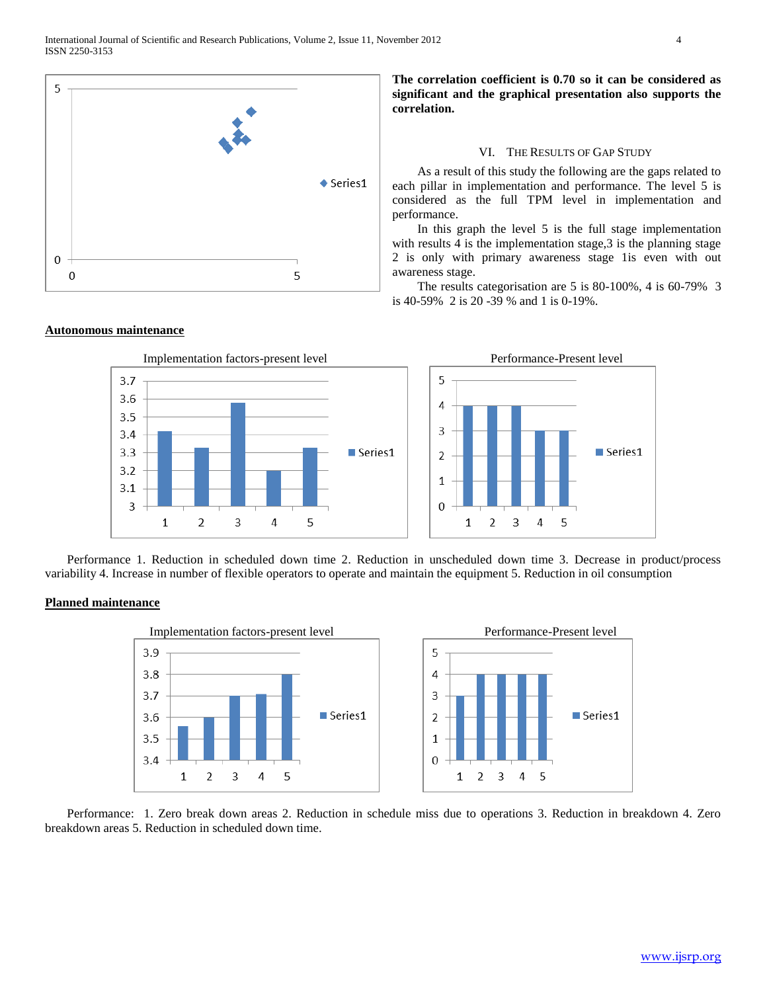

# **The correlation coefficient is 0.70 so it can be considered as significant and the graphical presentation also supports the correlation.**

## VI. THE RESULTS OF GAP STUDY

 As a result of this study the following are the gaps related to each pillar in implementation and performance. The level 5 is considered as the full TPM level in implementation and performance.

 In this graph the level 5 is the full stage implementation with results 4 is the implementation stage, 3 is the planning stage 2 is only with primary awareness stage 1is even with out awareness stage.

 The results categorisation are 5 is 80-100%, 4 is 60-79% 3 is 40-59% 2 is 20 -39 % and 1 is 0-19%.





 Performance 1. Reduction in scheduled down time 2. Reduction in unscheduled down time 3. Decrease in product/process variability 4. Increase in number of flexible operators to operate and maintain the equipment 5. Reduction in oil consumption

# **Planned maintenance**



 Performance: 1. Zero break down areas 2. Reduction in schedule miss due to operations 3. Reduction in breakdown 4. Zero breakdown areas 5. Reduction in scheduled down time.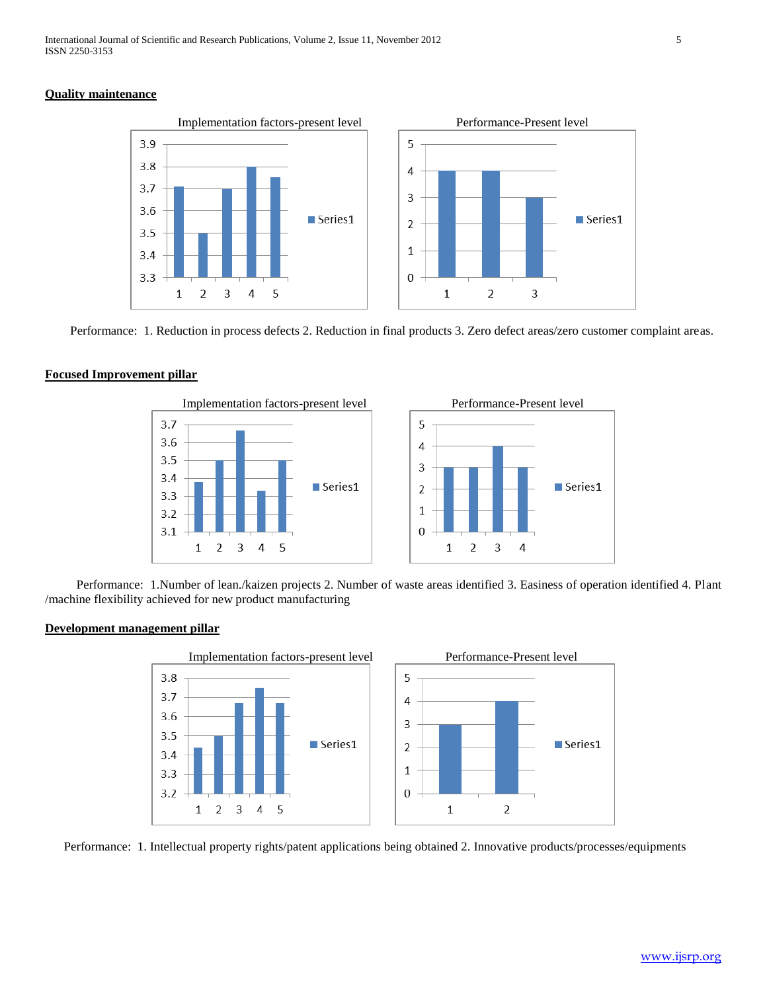# **Quality maintenance**



Performance: 1. Reduction in process defects 2. Reduction in final products 3. Zero defect areas/zero customer complaint areas.

# **Focused Improvement pillar**



 Performance: 1.Number of lean./kaizen projects 2. Number of waste areas identified 3. Easiness of operation identified 4. Plant /machine flexibility achieved for new product manufacturing

## **Development management pillar**



Performance: 1. Intellectual property rights/patent applications being obtained 2. Innovative products/processes/equipments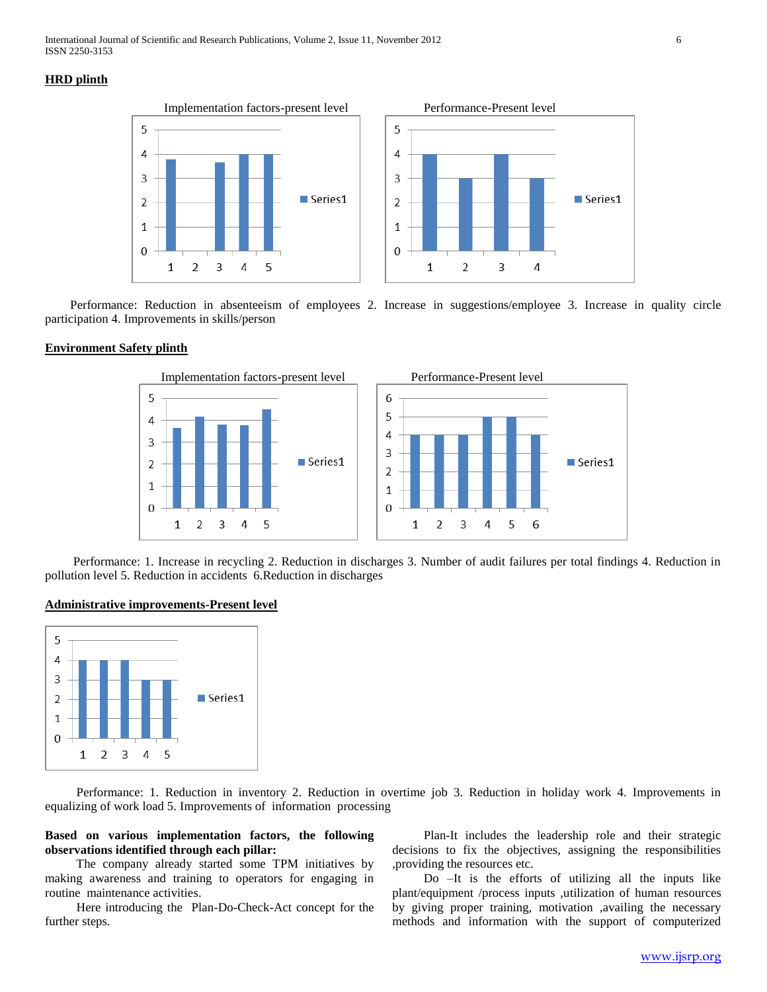# **HRD plinth**



 Performance: Reduction in absenteeism of employees 2. Increase in suggestions/employee 3. Increase in quality circle participation 4. Improvements in skills/person

# **Environment Safety plinth**



 Performance: 1. Increase in recycling 2. Reduction in discharges 3. Number of audit failures per total findings 4. Reduction in pollution level 5. Reduction in accidents 6.Reduction in discharges

## **Administrative improvements-Present level**



 Performance: 1. Reduction in inventory 2. Reduction in overtime job 3. Reduction in holiday work 4. Improvements in equalizing of work load 5. Improvements of information processing

# **Based on various implementation factors, the following observations identified through each pillar:**

 The company already started some TPM initiatives by making awareness and training to operators for engaging in routine maintenance activities.

 Here introducing the Plan-Do-Check-Act concept for the further steps.

 Plan-It includes the leadership role and their strategic decisions to fix the objectives, assigning the responsibilities ,providing the resources etc.

 Do –It is the efforts of utilizing all the inputs like plant/equipment /process inputs ,utilization of human resources by giving proper training, motivation ,availing the necessary methods and information with the support of computerized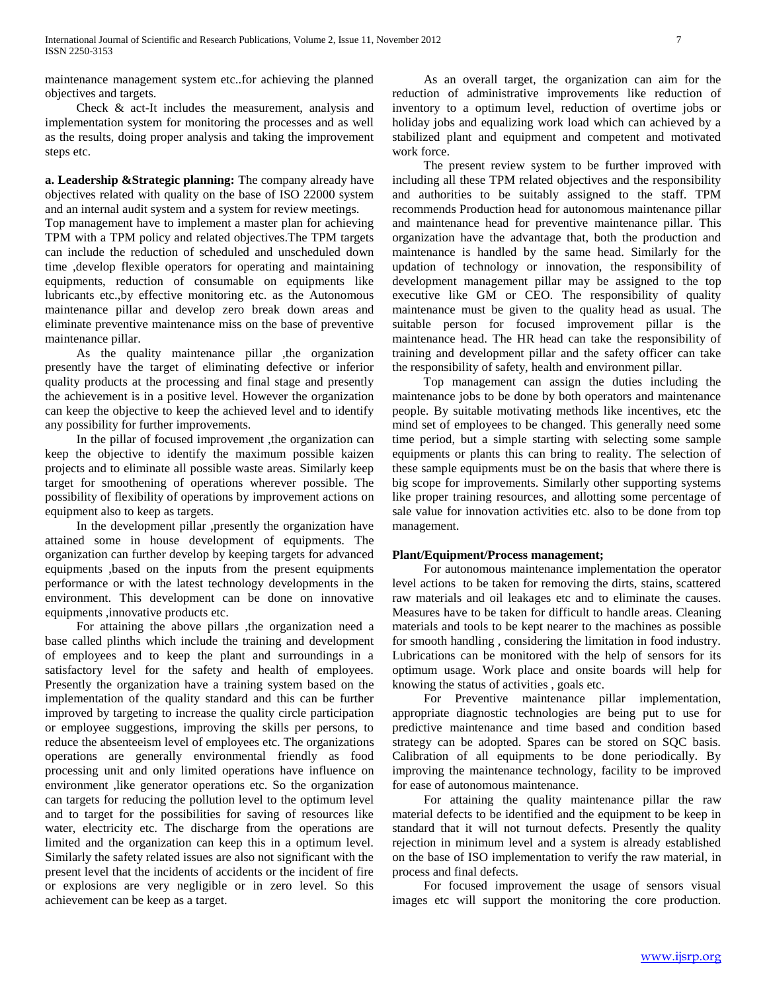maintenance management system etc..for achieving the planned objectives and targets.

 Check & act-It includes the measurement, analysis and implementation system for monitoring the processes and as well as the results, doing proper analysis and taking the improvement steps etc.

**a. Leadership &Strategic planning:** The company already have objectives related with quality on the base of ISO 22000 system and an internal audit system and a system for review meetings.

Top management have to implement a master plan for achieving TPM with a TPM policy and related objectives.The TPM targets can include the reduction of scheduled and unscheduled down time ,develop flexible operators for operating and maintaining equipments, reduction of consumable on equipments like lubricants etc.,by effective monitoring etc. as the Autonomous maintenance pillar and develop zero break down areas and eliminate preventive maintenance miss on the base of preventive maintenance pillar.

 As the quality maintenance pillar ,the organization presently have the target of eliminating defective or inferior quality products at the processing and final stage and presently the achievement is in a positive level. However the organization can keep the objective to keep the achieved level and to identify any possibility for further improvements.

 In the pillar of focused improvement ,the organization can keep the objective to identify the maximum possible kaizen projects and to eliminate all possible waste areas. Similarly keep target for smoothening of operations wherever possible. The possibility of flexibility of operations by improvement actions on equipment also to keep as targets.

 In the development pillar ,presently the organization have attained some in house development of equipments. The organization can further develop by keeping targets for advanced equipments ,based on the inputs from the present equipments performance or with the latest technology developments in the environment. This development can be done on innovative equipments ,innovative products etc.

 For attaining the above pillars ,the organization need a base called plinths which include the training and development of employees and to keep the plant and surroundings in a satisfactory level for the safety and health of employees. Presently the organization have a training system based on the implementation of the quality standard and this can be further improved by targeting to increase the quality circle participation or employee suggestions, improving the skills per persons, to reduce the absenteeism level of employees etc. The organizations operations are generally environmental friendly as food processing unit and only limited operations have influence on environment ,like generator operations etc. So the organization can targets for reducing the pollution level to the optimum level and to target for the possibilities for saving of resources like water, electricity etc. The discharge from the operations are limited and the organization can keep this in a optimum level. Similarly the safety related issues are also not significant with the present level that the incidents of accidents or the incident of fire or explosions are very negligible or in zero level. So this achievement can be keep as a target.

 As an overall target, the organization can aim for the reduction of administrative improvements like reduction of inventory to a optimum level, reduction of overtime jobs or holiday jobs and equalizing work load which can achieved by a stabilized plant and equipment and competent and motivated work force.

 The present review system to be further improved with including all these TPM related objectives and the responsibility and authorities to be suitably assigned to the staff. TPM recommends Production head for autonomous maintenance pillar and maintenance head for preventive maintenance pillar. This organization have the advantage that, both the production and maintenance is handled by the same head. Similarly for the updation of technology or innovation, the responsibility of development management pillar may be assigned to the top executive like GM or CEO. The responsibility of quality maintenance must be given to the quality head as usual. The suitable person for focused improvement pillar is the maintenance head. The HR head can take the responsibility of training and development pillar and the safety officer can take the responsibility of safety, health and environment pillar.

 Top management can assign the duties including the maintenance jobs to be done by both operators and maintenance people. By suitable motivating methods like incentives, etc the mind set of employees to be changed. This generally need some time period, but a simple starting with selecting some sample equipments or plants this can bring to reality. The selection of these sample equipments must be on the basis that where there is big scope for improvements. Similarly other supporting systems like proper training resources, and allotting some percentage of sale value for innovation activities etc. also to be done from top management.

# **Plant/Equipment/Process management;**

 For autonomous maintenance implementation the operator level actions to be taken for removing the dirts, stains, scattered raw materials and oil leakages etc and to eliminate the causes. Measures have to be taken for difficult to handle areas. Cleaning materials and tools to be kept nearer to the machines as possible for smooth handling , considering the limitation in food industry. Lubrications can be monitored with the help of sensors for its optimum usage. Work place and onsite boards will help for knowing the status of activities , goals etc.

 For Preventive maintenance pillar implementation, appropriate diagnostic technologies are being put to use for predictive maintenance and time based and condition based strategy can be adopted. Spares can be stored on SQC basis. Calibration of all equipments to be done periodically. By improving the maintenance technology, facility to be improved for ease of autonomous maintenance.

 For attaining the quality maintenance pillar the raw material defects to be identified and the equipment to be keep in standard that it will not turnout defects. Presently the quality rejection in minimum level and a system is already established on the base of ISO implementation to verify the raw material, in process and final defects.

 For focused improvement the usage of sensors visual images etc will support the monitoring the core production.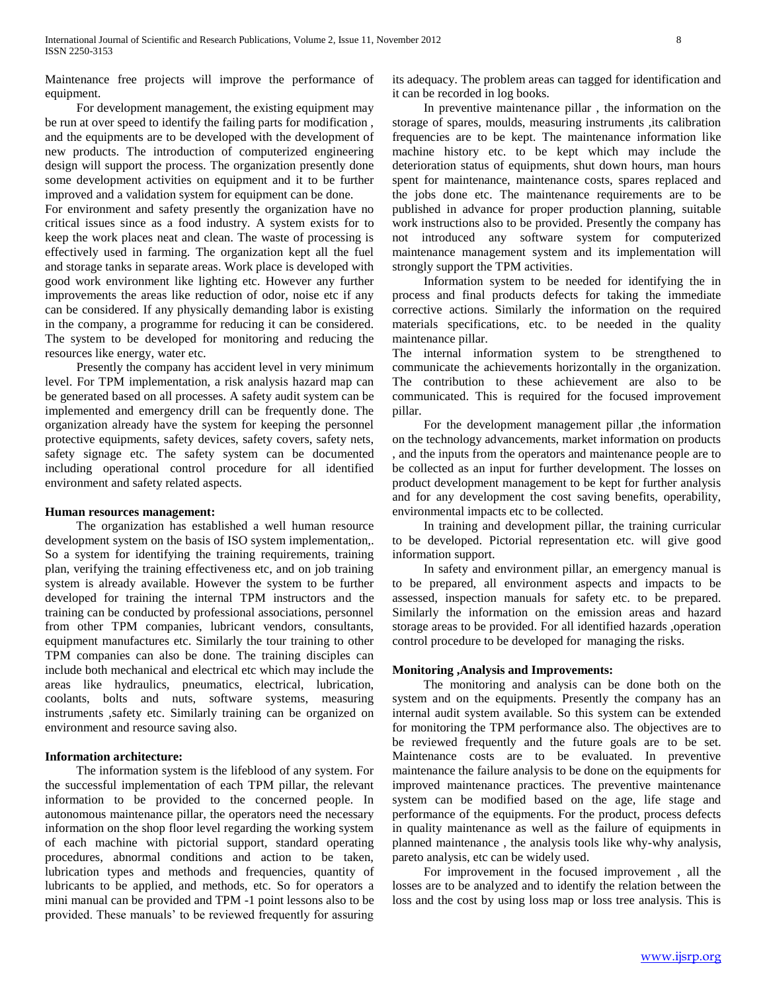Maintenance free projects will improve the performance of equipment.

 For development management, the existing equipment may be run at over speed to identify the failing parts for modification , and the equipments are to be developed with the development of new products. The introduction of computerized engineering design will support the process. The organization presently done some development activities on equipment and it to be further improved and a validation system for equipment can be done.

For environment and safety presently the organization have no critical issues since as a food industry. A system exists for to keep the work places neat and clean. The waste of processing is effectively used in farming. The organization kept all the fuel and storage tanks in separate areas. Work place is developed with good work environment like lighting etc. However any further improvements the areas like reduction of odor, noise etc if any can be considered. If any physically demanding labor is existing in the company, a programme for reducing it can be considered. The system to be developed for monitoring and reducing the resources like energy, water etc.

 Presently the company has accident level in very minimum level. For TPM implementation, a risk analysis hazard map can be generated based on all processes. A safety audit system can be implemented and emergency drill can be frequently done. The organization already have the system for keeping the personnel protective equipments, safety devices, safety covers, safety nets, safety signage etc. The safety system can be documented including operational control procedure for all identified environment and safety related aspects.

# **Human resources management:**

 The organization has established a well human resource development system on the basis of ISO system implementation,. So a system for identifying the training requirements, training plan, verifying the training effectiveness etc, and on job training system is already available. However the system to be further developed for training the internal TPM instructors and the training can be conducted by professional associations, personnel from other TPM companies, lubricant vendors, consultants, equipment manufactures etc. Similarly the tour training to other TPM companies can also be done. The training disciples can include both mechanical and electrical etc which may include the areas like hydraulics, pneumatics, electrical, lubrication, coolants, bolts and nuts, software systems, measuring instruments ,safety etc. Similarly training can be organized on environment and resource saving also.

## **Information architecture:**

 The information system is the lifeblood of any system. For the successful implementation of each TPM pillar, the relevant information to be provided to the concerned people. In autonomous maintenance pillar, the operators need the necessary information on the shop floor level regarding the working system of each machine with pictorial support, standard operating procedures, abnormal conditions and action to be taken, lubrication types and methods and frequencies, quantity of lubricants to be applied, and methods, etc. So for operators a mini manual can be provided and TPM -1 point lessons also to be provided. These manuals' to be reviewed frequently for assuring

its adequacy. The problem areas can tagged for identification and it can be recorded in log books.

 In preventive maintenance pillar , the information on the storage of spares, moulds, measuring instruments ,its calibration frequencies are to be kept. The maintenance information like machine history etc. to be kept which may include the deterioration status of equipments, shut down hours, man hours spent for maintenance, maintenance costs, spares replaced and the jobs done etc. The maintenance requirements are to be published in advance for proper production planning, suitable work instructions also to be provided. Presently the company has not introduced any software system for computerized maintenance management system and its implementation will strongly support the TPM activities.

 Information system to be needed for identifying the in process and final products defects for taking the immediate corrective actions. Similarly the information on the required materials specifications, etc. to be needed in the quality maintenance pillar.

The internal information system to be strengthened to communicate the achievements horizontally in the organization. The contribution to these achievement are also to be communicated. This is required for the focused improvement pillar.

 For the development management pillar ,the information on the technology advancements, market information on products , and the inputs from the operators and maintenance people are to be collected as an input for further development. The losses on product development management to be kept for further analysis and for any development the cost saving benefits, operability, environmental impacts etc to be collected.

 In training and development pillar, the training curricular to be developed. Pictorial representation etc. will give good information support.

 In safety and environment pillar, an emergency manual is to be prepared, all environment aspects and impacts to be assessed, inspection manuals for safety etc. to be prepared. Similarly the information on the emission areas and hazard storage areas to be provided. For all identified hazards ,operation control procedure to be developed for managing the risks.

## **Monitoring ,Analysis and Improvements:**

 The monitoring and analysis can be done both on the system and on the equipments. Presently the company has an internal audit system available. So this system can be extended for monitoring the TPM performance also. The objectives are to be reviewed frequently and the future goals are to be set. Maintenance costs are to be evaluated. In preventive maintenance the failure analysis to be done on the equipments for improved maintenance practices. The preventive maintenance system can be modified based on the age, life stage and performance of the equipments. For the product, process defects in quality maintenance as well as the failure of equipments in planned maintenance , the analysis tools like why-why analysis, pareto analysis, etc can be widely used.

 For improvement in the focused improvement , all the losses are to be analyzed and to identify the relation between the loss and the cost by using loss map or loss tree analysis. This is